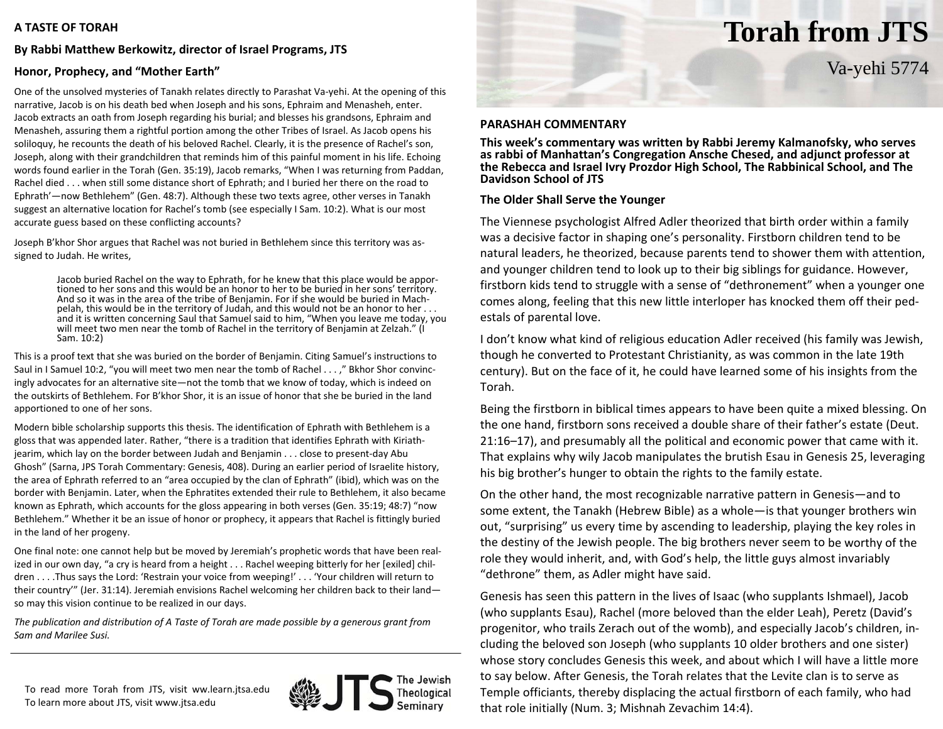### **A TASTE OF TORAH**

## **By Rabbi Matthew Berkowitz, director of Israel Programs, JTS**

## **Honor, Prophecy, and "Mother Earth"**

One of the unsolved mysteries of Tanakh relates directly to Parashat Va‐yehi. At the opening of this narrative, Jacob is on his death bed when Joseph and his sons, Ephraim and Menasheh, enter. Jacob extracts an oath from Joseph regarding his burial; and blesses his grandsons, Ephraim and Menasheh, assuring them <sup>a</sup> rightful portion among the other Tribes of Israel. As Jacob opens his soliloquy, he recounts the death of his beloved Rachel. Clearly, it is the presence of Rachel's son, Joseph, along with their grandchildren that reminds him of this painful moment in his life. Echoing words found earlier in the Torah (Gen. 35:19), Jacob remarks, "When I was returning from Paddan, Rachel died . . . when still some distance short of Ephrath; and I buried her there on the road to Ephrath'—now Bethlehem" (Gen. 48:7). Although these two texts agree, other verses in Tanakh suggest an alternative location for Rachel's tomb (see especially I Sam. 10:2). What is our most accurate guess based on these conflicting accounts?

Joseph B'khor Shor argues that Rachel was not buried in Bethlehem since this territory was as‐ signed to Judah. He writes,

> Jacob buried Rachel on the way to Ephrath, for he knew that this place would be appor‐ tioned to her sons and this would be an honor to her to be buried in her sons' territory. And so it was in the area of the tribe of Benjamin. For if she would be buried in Mach‐ pelah, this would be in the territory of Judah, and this would not be an honor to her . . . and it is written concerning Saul that Samuel said to him, "When you leave me today, you will meet two men near the tomb of Rachel in the territory of Benjamin at Zelzah." (I Sam. 10:2)

This is <sup>a</sup> proof text that she was buried on the border of Benjamin. Citing Samuel's instructions to Saul in I Samuel 10:2, "you will meet two men near the tomb of Rachel . . . ," Bkhor Shor convinc‐ ingly advocates for an alternative site—not the tomb that we know of today, which is indeed on the outskirts of Bethlehem. For B'khor Shor, it is an issue of honor that she be buried in the land apportioned to one of her sons.

Modern bible scholarship supports this thesis. The identification of Ephrath with Bethlehem is <sup>a</sup> gloss that was appended later. Rather, "there is <sup>a</sup> tradition that identifies Ephrath with Kiriath‐ jearim, which lay on the border between Judah and Benjamin . . . close to present-day Abu Ghosh" (Sarna, JPS Torah Commentary: Genesis, 408). During an earlier period of Israelite history, the area of Ephrath referred to an "area occupied by the clan of Ephrath" (ibid), which was on the border with Benjamin. Later, when the Ephratites extended their rule to Bethlehem, it also became known as Ephrath, which accounts for the gloss appearing in both verses (Gen. 35:19; 48:7) "now Bethlehem." Whether it be an issue of honor or prophecy, it appears that Rachel is fittingly buried in the land of her progeny.

One final note: one cannot help but be moved by Jeremiah's prophetic words that have been real‐ ized in our own day, "a cry is heard from <sup>a</sup> height . . . Rachel weeping bitterly for her [exiled] chil‐ dren . . . .Thus says the Lord: 'Restrain your voice from weeping!' . . . 'Your children will return to their country'" (Jer. 31:14). Jeremiah envisions Rachel welcoming her children back to their land so may this vision continue to be realized in our days.

*The publication and distribution of A Taste of Torah are made possible by <sup>a</sup> generous grant from Sam and Marilee Susi.*

To read more Torah from JTS, visit ww.learn.jtsa.edu To learn more about JTS, visit www.jtsa.edu



# **Torah from JTS**

Va-yehi 5774

### **PARASHAH COMMENTARY**

**This week's commentary was written by Rabbi Jeremy Kalmanofsky, who serves as rabbi of Manhattan's Congregation Ansche Chesed, and adjunct professor at the Rebecca and Israel Ivry Prozdor High School, The Rabbinical School, and The Davidson School of JTS**

### **The Older Shall Serve the Younger**

The Viennese psychologist Alfred Adler theorized that birth order within <sup>a</sup> family was a decisive factor in shaping one's personality. Firstborn children tend to be natural leaders, he theorized, because parents tend to shower them with attention, and younger children tend to look up to their big siblings for guidance. However, firstborn kids tend to struggle with <sup>a</sup> sense of "dethronement" when <sup>a</sup> younger one comes along, feeling that this new little interloper has knocked them off their ped‐ estals of parental love.

II don't know what kind of religious education Adler received (his family was Jewish, though he converted to Protestant Christianity, as was common in the late 19th century). But on the face of it, he could have learned some of his insights from the Torah.

Being the firstborn in biblical times appears to have been quite <sup>a</sup> mixed blessing. On the one hand, firstborn sons received <sup>a</sup> double share of their father's estate (Deut. 21:16–17), and presumably all the political and economic power that came with it. That explains why wily Jacob manipulates the brutish Esau in Genesis 25, leveraging his big brother's hunger to obtain the rights to the family estate.

On the other hand, the most recognizable narrative pattern in Genesis—and to some extent, the Tanakh (Hebrew Bible) as <sup>a</sup> whole—is that younger brothers win out, "surprising" us every time by ascending to leadership, playing the key roles in the destiny of the Jewish people. The big brothers never seem to be worthy of the role they would inherit, and, with God's help, the little guys almost invariably "dethrone" them, as Adler might have said.

Genesis has seen this pattern in the lives of Isaac (who supplants Ishmael), Jacob (who supplants Esau), Rachel (more beloved than the elder Leah), Peretz (David's progenitor, who trails Zerach out of the womb), and especially Jacob's children, in‐ cluding the beloved son Joseph (who supplants 10 older brothers and one sister) whose story concludes Genesis this week, and about which I will have <sup>a</sup> little more to say below. After Genesis, the Torah relates that the Levite clan is to serve as Temple officiants, thereby displacing the actual firstborn of each family, who had that role initially (Num. 3; Mishnah Zevachim 14:4).